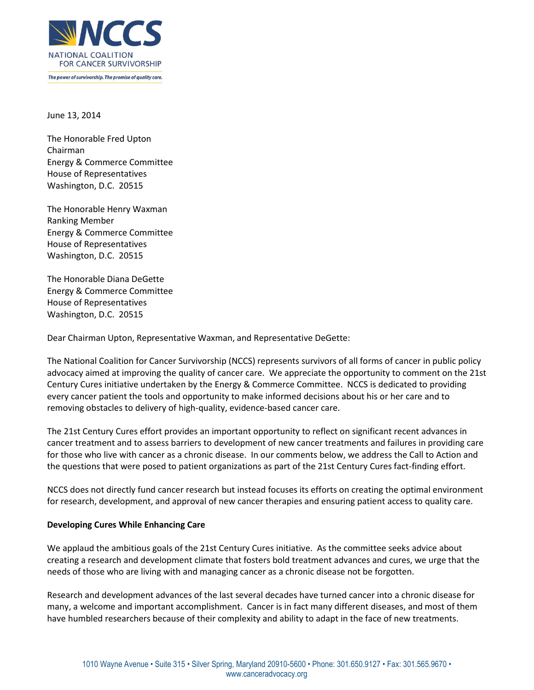

June 13, 2014

The Honorable Fred Upton Chairman Energy & Commerce Committee House of Representatives Washington, D.C. 20515

The Honorable Henry Waxman Ranking Member Energy & Commerce Committee House of Representatives Washington, D.C. 20515

The Honorable Diana DeGette Energy & Commerce Committee House of Representatives Washington, D.C. 20515

Dear Chairman Upton, Representative Waxman, and Representative DeGette:

The National Coalition for Cancer Survivorship (NCCS) represents survivors of all forms of cancer in public policy advocacy aimed at improving the quality of cancer care. We appreciate the opportunity to comment on the 21st Century Cures initiative undertaken by the Energy & Commerce Committee. NCCS is dedicated to providing every cancer patient the tools and opportunity to make informed decisions about his or her care and to removing obstacles to delivery of high-quality, evidence-based cancer care.

The 21st Century Cures effort provides an important opportunity to reflect on significant recent advances in cancer treatment and to assess barriers to development of new cancer treatments and failures in providing care for those who live with cancer as a chronic disease. In our comments below, we address the Call to Action and the questions that were posed to patient organizations as part of the 21st Century Cures fact-finding effort.

NCCS does not directly fund cancer research but instead focuses its efforts on creating the optimal environment for research, development, and approval of new cancer therapies and ensuring patient access to quality care.

## **Developing Cures While Enhancing Care**

We applaud the ambitious goals of the 21st Century Cures initiative. As the committee seeks advice about creating a research and development climate that fosters bold treatment advances and cures, we urge that the needs of those who are living with and managing cancer as a chronic disease not be forgotten.

Research and development advances of the last several decades have turned cancer into a chronic disease for many, a welcome and important accomplishment. Cancer is in fact many different diseases, and most of them have humbled researchers because of their complexity and ability to adapt in the face of new treatments.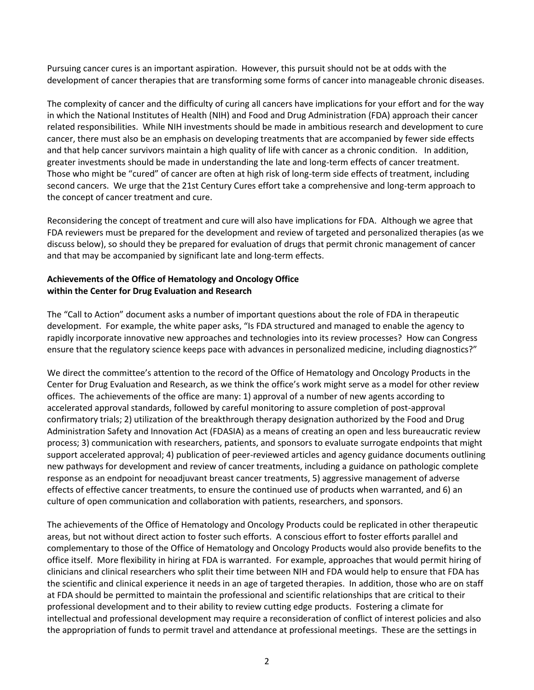Pursuing cancer cures is an important aspiration. However, this pursuit should not be at odds with the development of cancer therapies that are transforming some forms of cancer into manageable chronic diseases.

The complexity of cancer and the difficulty of curing all cancers have implications for your effort and for the way in which the National Institutes of Health (NIH) and Food and Drug Administration (FDA) approach their cancer related responsibilities. While NIH investments should be made in ambitious research and development to cure cancer, there must also be an emphasis on developing treatments that are accompanied by fewer side effects and that help cancer survivors maintain a high quality of life with cancer as a chronic condition. In addition, greater investments should be made in understanding the late and long-term effects of cancer treatment. Those who might be "cured" of cancer are often at high risk of long-term side effects of treatment, including second cancers. We urge that the 21st Century Cures effort take a comprehensive and long-term approach to the concept of cancer treatment and cure.

Reconsidering the concept of treatment and cure will also have implications for FDA. Although we agree that FDA reviewers must be prepared for the development and review of targeted and personalized therapies (as we discuss below), so should they be prepared for evaluation of drugs that permit chronic management of cancer and that may be accompanied by significant late and long-term effects.

## **Achievements of the Office of Hematology and Oncology Office within the Center for Drug Evaluation and Research**

The "Call to Action" document asks a number of important questions about the role of FDA in therapeutic development. For example, the white paper asks, "Is FDA structured and managed to enable the agency to rapidly incorporate innovative new approaches and technologies into its review processes? How can Congress ensure that the regulatory science keeps pace with advances in personalized medicine, including diagnostics?"

We direct the committee's attention to the record of the Office of Hematology and Oncology Products in the Center for Drug Evaluation and Research, as we think the office's work might serve as a model for other review offices. The achievements of the office are many: 1) approval of a number of new agents according to accelerated approval standards, followed by careful monitoring to assure completion of post-approval confirmatory trials; 2) utilization of the breakthrough therapy designation authorized by the Food and Drug Administration Safety and Innovation Act (FDASIA) as a means of creating an open and less bureaucratic review process; 3) communication with researchers, patients, and sponsors to evaluate surrogate endpoints that might support accelerated approval; 4) publication of peer-reviewed articles and agency guidance documents outlining new pathways for development and review of cancer treatments, including a guidance on pathologic complete response as an endpoint for neoadjuvant breast cancer treatments, 5) aggressive management of adverse effects of effective cancer treatments, to ensure the continued use of products when warranted, and 6) an culture of open communication and collaboration with patients, researchers, and sponsors.

The achievements of the Office of Hematology and Oncology Products could be replicated in other therapeutic areas, but not without direct action to foster such efforts. A conscious effort to foster efforts parallel and complementary to those of the Office of Hematology and Oncology Products would also provide benefits to the office itself. More flexibility in hiring at FDA is warranted. For example, approaches that would permit hiring of clinicians and clinical researchers who split their time between NIH and FDA would help to ensure that FDA has the scientific and clinical experience it needs in an age of targeted therapies. In addition, those who are on staff at FDA should be permitted to maintain the professional and scientific relationships that are critical to their professional development and to their ability to review cutting edge products. Fostering a climate for intellectual and professional development may require a reconsideration of conflict of interest policies and also the appropriation of funds to permit travel and attendance at professional meetings. These are the settings in